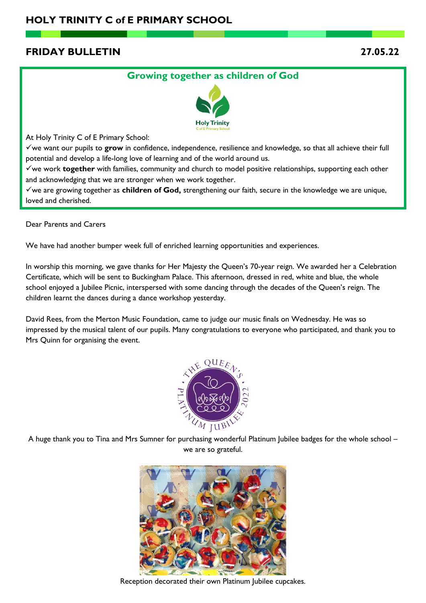# **FRIDAY BULLETIN 27.05.22**

## **Growing together as children of God**



At Holy Trinity C of E Primary School:

✓we want our pupils to **grow** in confidence, independence, resilience and knowledge, so that all achieve their full potential and develop a life-long love of learning and of the world around us.

✓we work **together** with families, community and church to model positive relationships, supporting each other and acknowledging that we are stronger when we work together.

✓we are growing together as **children of God,** strengthening our faith, secure in the knowledge we are unique, loved and cherished.

Dear Parents and Carers

We have had another bumper week full of enriched learning opportunities and experiences.

In worship this morning, we gave thanks for Her Majesty the Queen's 70-year reign. We awarded her a Celebration Certificate, which will be sent to Buckingham Palace. This afternoon, dressed in red, white and blue, the whole school enjoyed a Jubilee Picnic, interspersed with some dancing through the decades of the Queen's reign. The children learnt the dances during a dance workshop yesterday.

David Rees, from the Merton Music Foundation, came to judge our music finals on Wednesday. He was so impressed by the musical talent of our pupils. Many congratulations to everyone who participated, and thank you to Mrs Quinn for organising the event.



A huge thank you to Tina and Mrs Sumner for purchasing wonderful Platinum Jubilee badges for the whole school – we are so grateful.



Reception decorated their own Platinum Jubilee cupcakes.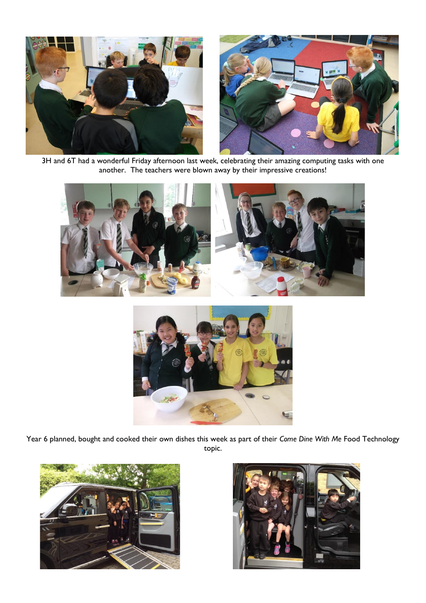

3H and 6T had a wonderful Friday afternoon last week, celebrating their amazing computing tasks with one another. The teachers were blown away by their impressive creations!





Year 6 planned, bought and cooked their own dishes this week as part of their *Come Dine With Me* Food Technology topic.



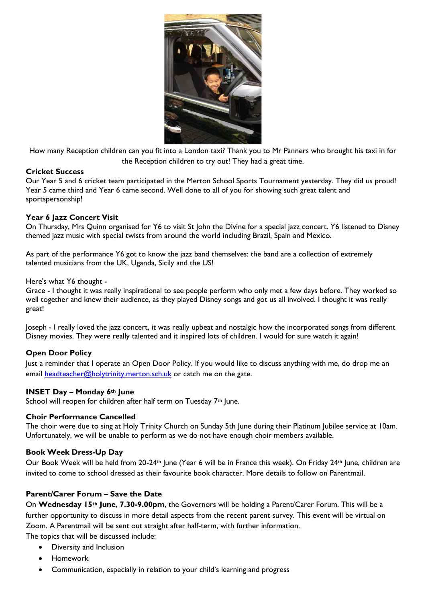

How many Reception children can you fit into a London taxi? Thank you to Mr Panners who brought his taxi in for the Reception children to try out! They had a great time.

## **Cricket Success**

Our Year 5 and 6 cricket team participated in the Merton School Sports Tournament yesterday. They did us proud! Year 5 came third and Year 6 came second. Well done to all of you for showing such great talent and sportspersonship!

## **Year 6 Jazz Concert Visit**

On Thursday, Mrs Quinn organised for Y6 to visit St John the Divine for a special jazz concert. Y6 listened to Disney themed jazz music with special twists from around the world including Brazil, Spain and Mexico.

As part of the performance Y6 got to know the jazz band themselves: the band are a collection of extremely talented musicians from the UK, Uganda, Sicily and the US!

#### Here's what Y6 thought -

Grace - I thought it was really inspirational to see people perform who only met a few days before. They worked so well together and knew their audience, as they played Disney songs and got us all involved. I thought it was really great!

Joseph - I really loved the jazz concert, it was really upbeat and nostalgic how the incorporated songs from different Disney movies. They were really talented and it inspired lots of children. I would for sure watch it again!

#### **Open Door Policy**

Just a reminder that I operate an Open Door Policy. If you would like to discuss anything with me, do drop me an email [headteacher@holytrinity.merton.sch.uk](mailto:headteacher@holytrinity.merton.sch.uk) or catch me on the gate.

#### **INSET Day – Monday 6th June**

School will reopen for children after half term on Tuesday 7<sup>th</sup> June.

#### **Choir Performance Cancelled**

The choir were due to sing at Holy Trinity Church on Sunday 5th June during their Platinum Jubilee service at 10am. Unfortunately, we will be unable to perform as we do not have enough choir members available.

#### **Book Week Dress-Up Day**

Our Book Week will be held from 20-24<sup>th</sup> June (Year 6 will be in France this week). On Friday 24<sup>th</sup> June, children are invited to come to school dressed as their favourite book character. More details to follow on Parentmail.

## **Parent/Carer Forum – Save the Date**

On **Wednesday 15th June**, **7.30-9.00pm**, the Governors will be holding a Parent/Carer Forum. This will be a further opportunity to discuss in more detail aspects from the recent parent survey. This event will be virtual on Zoom. A Parentmail will be sent out straight after half-term, with further information.

The topics that will be discussed include:

- Diversity and Inclusion
- Homework
- Communication, especially in relation to your child's learning and progress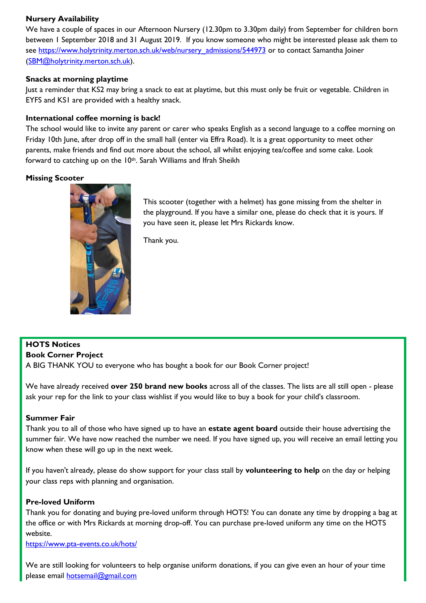## **Nursery Availability**

We have a couple of spaces in our Afternoon Nursery (12.30pm to 3.30pm daily) from September for children born between 1 September 2018 and 31 August 2019. If you know someone who might be interested please ask them to see [https://www.holytrinity.merton.sch.uk/web/nursery\\_admissions/544973](https://www.holytrinity.merton.sch.uk/web/nursery_admissions/544973) or to contact Samantha Joiner [\(SBM@holytrinity.merton.sch.uk\)](mailto:SBM@holytrinity.merton.sch.uk).

## **Snacks at morning playtime**

Just a reminder that KS2 may bring a snack to eat at playtime, but this must only be fruit or vegetable. Children in EYFS and KS1 are provided with a healthy snack.

### **International coffee morning is back!**

The school would like to invite any parent or carer who speaks English as a second language to a coffee morning on Friday 10th June, after drop off in the small hall (enter via Effra Road). It is a great opportunity to meet other parents, make friends and find out more about the school, all whilst enjoying tea/coffee and some cake. Look forward to catching up on the 10<sup>th</sup>. Sarah Williams and Ifrah Sheikh

### **Missing Scooter**



This scooter (together with a helmet) has gone missing from the shelter in the playground. If you have a similar one, please do check that it is yours. If you have seen it, please let Mrs Rickards know.

Thank you.

## **HOTS Notices**

#### **Book Corner Project**

A BIG THANK YOU to everyone who has bought a book for our Book Corner project!

We have already received **over 250 brand new books** across all of the classes. The lists are all still open - please ask your rep for the link to your class wishlist if you would like to buy a book for your child's classroom.

#### **Summer Fair**

Thank you to all of those who have signed up to have an **estate agent board** outside their house advertising the summer fair. We have now reached the number we need. If you have signed up, you will receive an email letting you know when these will go up in the next week.

If you haven't already, please do show support for your class stall by **volunteering to help** on the day or helping your class reps with planning and organisation.

#### **Pre-loved Uniform**

Thank you for donating and buying pre-loved uniform through HOTS! You can donate any time by dropping a bag at the office or with Mrs Rickards at morning drop-off. You can purchase pre-loved uniform any time on the HOTS website.

<https://www.pta-events.co.uk/hots/>

We are still looking for volunteers to help organise uniform donations, if you can give even an hour of your time please email [hotsemail@gmail.com](mailto:hotsemail@gmail.com)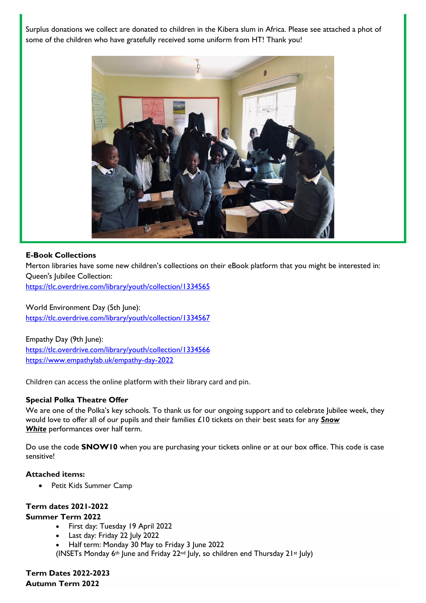Surplus donations we collect are donated to children in the Kibera slum in Africa. Please see attached a phot of some of the children who have gratefully received some uniform from HT! Thank you!



### **E-Book Collections**

Merton libraries have some new children's collections on their eBook platform that you might be interested in: Queen's Jubilee Collection:

[https://tlc.overdrive.com/library/youth/collection/1334565](https://urldefense.com/v3/__https:/tlc.overdrive.com/library/youth/collection/1334565__;!!MOeJA3Fs6wML0Q!X4iYRd0dgjQPbaEgWCUPYDKXIAjAck2NLDQesrexyN9nkVVO1jh-bQbxWieDO1fY9GUc6u8$)

World Environment Day (5th June): [https://tlc.overdrive.com/library/youth/collection/1334567](https://urldefense.com/v3/__https:/tlc.overdrive.com/library/youth/collection/1334567__;!!MOeJA3Fs6wML0Q!X4iYRd0dgjQPbaEgWCUPYDKXIAjAck2NLDQesrexyN9nkVVO1jh-bQbxWieDO1fYFdj4avw$)

Empathy Day (9th June): [https://tlc.overdrive.com/library/youth/collection/1334566](https://urldefense.com/v3/__https:/tlc.overdrive.com/library/youth/collection/1334566__;!!MOeJA3Fs6wML0Q!X4iYRd0dgjQPbaEgWCUPYDKXIAjAck2NLDQesrexyN9nkVVO1jh-bQbxWieDO1fYh4ApdXo$) [https://www.empathylab.uk/empathy-day-2022](https://urldefense.com/v3/__https:/www.empathylab.uk/empathy-day-2022__;!!MOeJA3Fs6wML0Q!X4iYRd0dgjQPbaEgWCUPYDKXIAjAck2NLDQesrexyN9nkVVO1jh-bQbxWieDO1fYSJH-Y1s$)

Children can access the online platform with their library card and pin.

## **Special Polka Theatre Offer**

We are one of the Polka's key schools. To thank us for our ongoing support and to celebrate Jubilee week, they would love to offer all of our pupils and their families £10 tickets on their best seats for any *[Snow](https://polkatheatre.com/event/snow-white/)  [White](https://polkatheatre.com/event/snow-white/)* performances over half term.

Do use the code **SNOW10** when you are purchasing your tickets online or at our box office. This code is case sensitive!

#### **Attached items:**

• Petit Kids Summer Camp

## **Term dates 2021-2022**

#### **Summer Term 2022**

- First day: Tuesday 19 April 2022
- Last day: Friday 22 July 2022
- Half term: Monday 30 May to Friday 3 June 2022

(INSETs Monday  $6$ <sup>th</sup> June and Friday 22<sup>nd</sup> July, so children end Thursday 21<sup>st</sup> July)

**Term Dates 2022-2023 Autumn Term 2022**